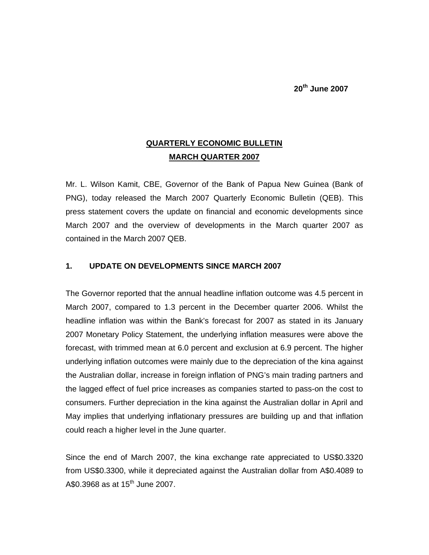## **QUARTERLY ECONOMIC BULLETIN MARCH QUARTER 2007**

Mr. L. Wilson Kamit, CBE, Governor of the Bank of Papua New Guinea (Bank of PNG), today released the March 2007 Quarterly Economic Bulletin (QEB). This press statement covers the update on financial and economic developments since March 2007 and the overview of developments in the March quarter 2007 as contained in the March 2007 QEB.

## **1. UPDATE ON DEVELOPMENTS SINCE MARCH 2007**

The Governor reported that the annual headline inflation outcome was 4.5 percent in March 2007, compared to 1.3 percent in the December quarter 2006. Whilst the headline inflation was within the Bank's forecast for 2007 as stated in its January 2007 Monetary Policy Statement, the underlying inflation measures were above the forecast, with trimmed mean at 6.0 percent and exclusion at 6.9 percent. The higher underlying inflation outcomes were mainly due to the depreciation of the kina against the Australian dollar, increase in foreign inflation of PNG's main trading partners and the lagged effect of fuel price increases as companies started to pass-on the cost to consumers. Further depreciation in the kina against the Australian dollar in April and May implies that underlying inflationary pressures are building up and that inflation could reach a higher level in the June quarter.

Since the end of March 2007, the kina exchange rate appreciated to US\$0.3320 from US\$0.3300, while it depreciated against the Australian dollar from A\$0.4089 to A\$0.3968 as at  $15^{th}$  June 2007.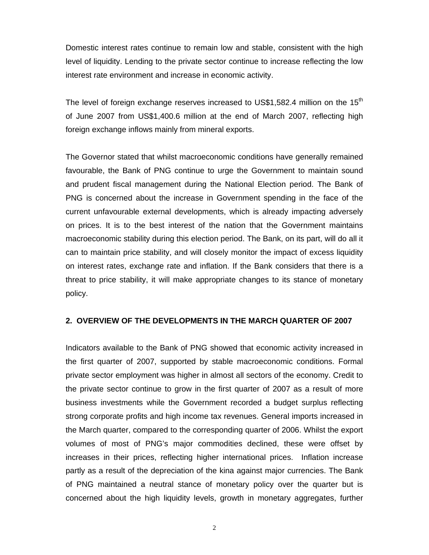Domestic interest rates continue to remain low and stable, consistent with the high level of liquidity. Lending to the private sector continue to increase reflecting the low interest rate environment and increase in economic activity.

The level of foreign exchange reserves increased to US\$1,582.4 million on the 15<sup>th</sup> of June 2007 from US\$1,400.6 million at the end of March 2007, reflecting high foreign exchange inflows mainly from mineral exports.

The Governor stated that whilst macroeconomic conditions have generally remained favourable, the Bank of PNG continue to urge the Government to maintain sound and prudent fiscal management during the National Election period. The Bank of PNG is concerned about the increase in Government spending in the face of the current unfavourable external developments, which is already impacting adversely on prices. It is to the best interest of the nation that the Government maintains macroeconomic stability during this election period. The Bank, on its part, will do all it can to maintain price stability, and will closely monitor the impact of excess liquidity on interest rates, exchange rate and inflation. If the Bank considers that there is a threat to price stability, it will make appropriate changes to its stance of monetary policy.

## **2. OVERVIEW OF THE DEVELOPMENTS IN THE MARCH QUARTER OF 2007**

Indicators available to the Bank of PNG showed that economic activity increased in the first quarter of 2007, supported by stable macroeconomic conditions. Formal private sector employment was higher in almost all sectors of the economy. Credit to the private sector continue to grow in the first quarter of 2007 as a result of more business investments while the Government recorded a budget surplus reflecting strong corporate profits and high income tax revenues. General imports increased in the March quarter, compared to the corresponding quarter of 2006. Whilst the export volumes of most of PNG's major commodities declined, these were offset by increases in their prices, reflecting higher international prices. Inflation increase partly as a result of the depreciation of the kina against major currencies. The Bank of PNG maintained a neutral stance of monetary policy over the quarter but is concerned about the high liquidity levels, growth in monetary aggregates, further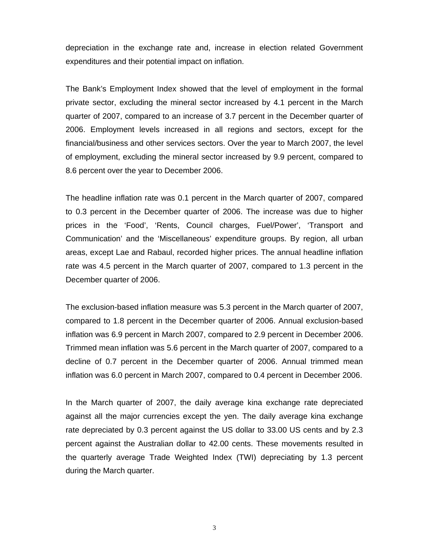depreciation in the exchange rate and, increase in election related Government expenditures and their potential impact on inflation.

The Bank's Employment Index showed that the level of employment in the formal private sector, excluding the mineral sector increased by 4.1 percent in the March quarter of 2007, compared to an increase of 3.7 percent in the December quarter of 2006. Employment levels increased in all regions and sectors, except for the financial/business and other services sectors. Over the year to March 2007, the level of employment, excluding the mineral sector increased by 9.9 percent, compared to 8.6 percent over the year to December 2006.

The headline inflation rate was 0.1 percent in the March quarter of 2007, compared to 0.3 percent in the December quarter of 2006. The increase was due to higher prices in the 'Food', 'Rents, Council charges, Fuel/Power', 'Transport and Communication' and the 'Miscellaneous' expenditure groups. By region, all urban areas, except Lae and Rabaul, recorded higher prices. The annual headline inflation rate was 4.5 percent in the March quarter of 2007, compared to 1.3 percent in the December quarter of 2006.

The exclusion-based inflation measure was 5.3 percent in the March quarter of 2007, compared to 1.8 percent in the December quarter of 2006. Annual exclusion-based inflation was 6.9 percent in March 2007, compared to 2.9 percent in December 2006. Trimmed mean inflation was 5.6 percent in the March quarter of 2007, compared to a decline of 0.7 percent in the December quarter of 2006. Annual trimmed mean inflation was 6.0 percent in March 2007, compared to 0.4 percent in December 2006.

In the March quarter of 2007, the daily average kina exchange rate depreciated against all the major currencies except the yen. The daily average kina exchange rate depreciated by 0.3 percent against the US dollar to 33.00 US cents and by 2.3 percent against the Australian dollar to 42.00 cents. These movements resulted in the quarterly average Trade Weighted Index (TWI) depreciating by 1.3 percent during the March quarter.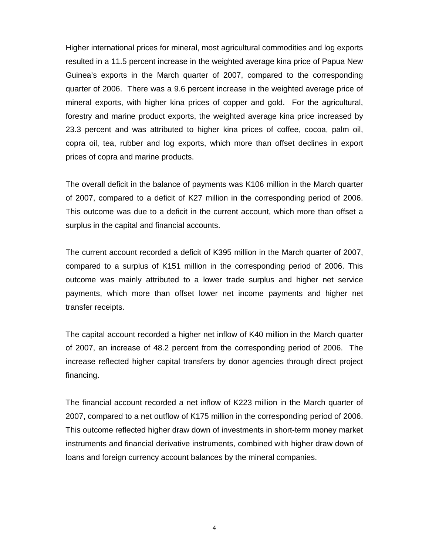Higher international prices for mineral, most agricultural commodities and log exports resulted in a 11.5 percent increase in the weighted average kina price of Papua New Guinea's exports in the March quarter of 2007, compared to the corresponding quarter of 2006. There was a 9.6 percent increase in the weighted average price of mineral exports, with higher kina prices of copper and gold. For the agricultural, forestry and marine product exports, the weighted average kina price increased by 23.3 percent and was attributed to higher kina prices of coffee, cocoa, palm oil, copra oil, tea, rubber and log exports, which more than offset declines in export prices of copra and marine products.

The overall deficit in the balance of payments was K106 million in the March quarter of 2007, compared to a deficit of K27 million in the corresponding period of 2006. This outcome was due to a deficit in the current account, which more than offset a surplus in the capital and financial accounts.

The current account recorded a deficit of K395 million in the March quarter of 2007, compared to a surplus of K151 million in the corresponding period of 2006. This outcome was mainly attributed to a lower trade surplus and higher net service payments, which more than offset lower net income payments and higher net transfer receipts.

The capital account recorded a higher net inflow of K40 million in the March quarter of 2007, an increase of 48.2 percent from the corresponding period of 2006. The increase reflected higher capital transfers by donor agencies through direct project financing.

The financial account recorded a net inflow of K223 million in the March quarter of 2007, compared to a net outflow of K175 million in the corresponding period of 2006. This outcome reflected higher draw down of investments in short-term money market instruments and financial derivative instruments, combined with higher draw down of loans and foreign currency account balances by the mineral companies.

4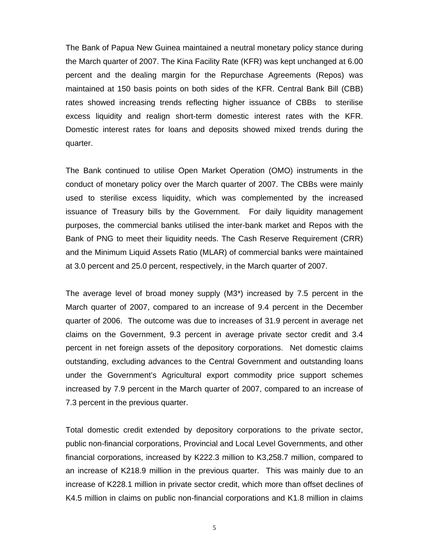The Bank of Papua New Guinea maintained a neutral monetary policy stance during the March quarter of 2007. The Kina Facility Rate (KFR) was kept unchanged at 6.00 percent and the dealing margin for the Repurchase Agreements (Repos) was maintained at 150 basis points on both sides of the KFR. Central Bank Bill (CBB) rates showed increasing trends reflecting higher issuance of CBBs to sterilise excess liquidity and realign short-term domestic interest rates with the KFR. Domestic interest rates for loans and deposits showed mixed trends during the quarter.

The Bank continued to utilise Open Market Operation (OMO) instruments in the conduct of monetary policy over the March quarter of 2007. The CBBs were mainly used to sterilise excess liquidity, which was complemented by the increased issuance of Treasury bills by the Government. For daily liquidity management purposes, the commercial banks utilised the inter-bank market and Repos with the Bank of PNG to meet their liquidity needs. The Cash Reserve Requirement (CRR) and the Minimum Liquid Assets Ratio (MLAR) of commercial banks were maintained at 3.0 percent and 25.0 percent, respectively, in the March quarter of 2007.

The average level of broad money supply (M3\*) increased by 7.5 percent in the March quarter of 2007, compared to an increase of 9.4 percent in the December quarter of 2006. The outcome was due to increases of 31.9 percent in average net claims on the Government, 9.3 percent in average private sector credit and 3.4 percent in net foreign assets of the depository corporations. Net domestic claims outstanding, excluding advances to the Central Government and outstanding loans under the Government's Agricultural export commodity price support schemes increased by 7.9 percent in the March quarter of 2007, compared to an increase of 7.3 percent in the previous quarter.

Total domestic credit extended by depository corporations to the private sector, public non-financial corporations, Provincial and Local Level Governments, and other financial corporations, increased by K222.3 million to K3,258.7 million, compared to an increase of K218.9 million in the previous quarter. This was mainly due to an increase of K228.1 million in private sector credit, which more than offset declines of K4.5 million in claims on public non-financial corporations and K1.8 million in claims

5